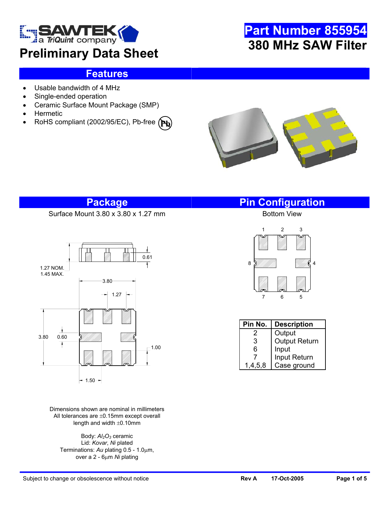

# **Preliminary Data Sheet**

# **Part Number 855954 380 MHz SAW Filter**

## **Features**

- Usable bandwidth of 4 MHz
- Single-ended operation
- Ceramic Surface Mount Package (SMP)
- **Hermetic**
- RoHS compliant (2002/95/EC), Pb-free **(Pb**



## **Package Pin Configuration**

Surface Mount 3.80 x 3.80 x 1.27 mm



Dimensions shown are nominal in millimeters All tolerances are ±0.15mm except overall length and width  $\pm 0.10$ mm

Body:  $Al<sub>2</sub>O<sub>3</sub>$  ceramic Lid: *Kovar*, *Ni* plated Terminations: *Au* plating 0.5 - 1.0µm, over a 2 - 6µm *Ni* plating



| Pin No. | <b>Description</b>   |
|---------|----------------------|
| 2       | Output               |
| 3       | <b>Output Return</b> |
| 6       | Input                |
|         | Input Return         |
| 1,4,5,8 | Case ground          |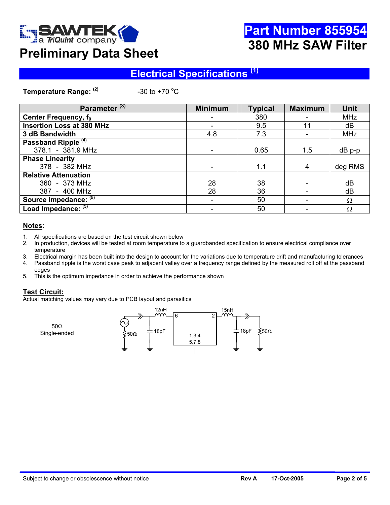

# **Part Number 855954 380 MHz SAW Filter**

# **Preliminary Data Sheet**

## **Electrical Specifications (1)**

**Temperature Range: (2)** 

-30 to +70  $^{\circ}$ C

| Parameter <sup>(3)</sup>         | <b>Minimum</b> | <b>Typical</b> | <b>Maximum</b> | <b>Unit</b> |
|----------------------------------|----------------|----------------|----------------|-------------|
| Center Frequency, f <sub>0</sub> |                | 380            |                | <b>MHz</b>  |
| <b>Insertion Loss at 380 MHz</b> |                | 9.5            | 11             | dB          |
| 3 dB Bandwidth                   | 4.8            | 7.3            |                | <b>MHz</b>  |
| Passband Ripple <sup>(4)</sup>   |                |                |                |             |
| 378.1 - 381.9 MHz                |                | 0.65           | 1.5            | $dB$ p-p    |
| <b>Phase Linearity</b>           |                |                |                |             |
| 378 - 382 MHz                    |                | 1.1            | 4              | deg RMS     |
| <b>Relative Attenuation</b>      |                |                |                |             |
| 360 - 373 MHz                    | 28             | 38             |                | dB          |
| 387 - 400 MHz                    | 28             | 36             |                | dB          |
| Source Impedance: (5)            |                | 50             |                | $\Omega$    |
| Load Impedance: (5)              |                | 50             |                | Ω           |

#### **Notes:**

- 1. All specifications are based on the test circuit shown below
- 2. In production, devices will be tested at room temperature to a guardbanded specification to ensure electrical compliance over temperature
- 3. Electrical margin has been built into the design to account for the variations due to temperature drift and manufacturing tolerances
- 4. Passband ripple is the worst case peak to adjacent valley over a frequency range defined by the measured roll off at the passband edges
- 5. This is the optimum impedance in order to achieve the performance shown

#### **Test Circuit:**

Actual matching values may vary due to PCB layout and parasitics

50Ω

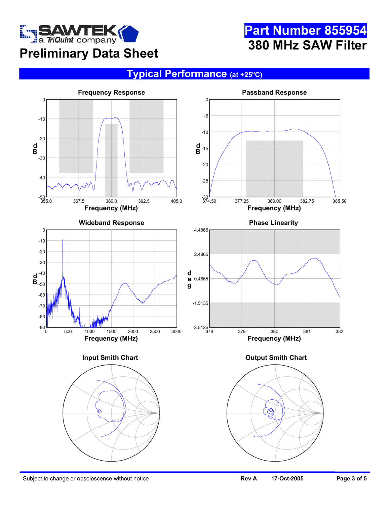

# **Part Number 855954 380 MHz SAW Filter**

## **Typical Performance (at +25o C)**

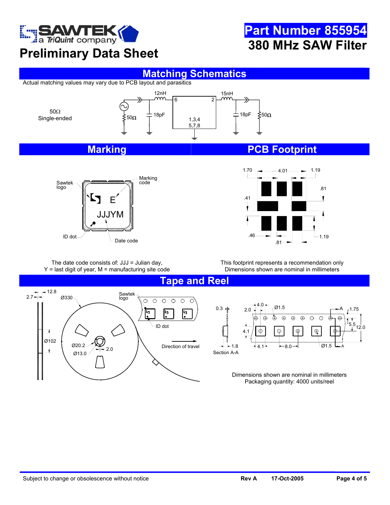

# **Preliminary Data Sheet**

#### **Matching Schematics**

Actual matching values may vary due to PCB layout and parasitics





## **Marking Community Community PCB Footprint**

**Part Number 855954**

**380 MHz SAW Filter**



The date code consists of: JJJ = Julian day,  $Y =$  last digit of year,  $M =$  manufacturing site code

This footprint represents a recommendation only Dimensions shown are nominal in millimeters

**Tape and Reel** 

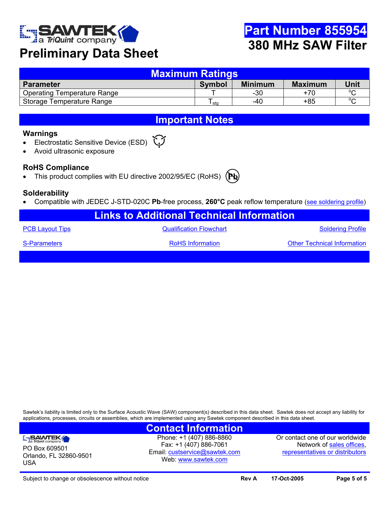

## **Preliminary Data Sheet**

| Maximum Ratings                    |               |                |                |         |  |  |
|------------------------------------|---------------|----------------|----------------|---------|--|--|
| <b>Parameter</b>                   | <b>Symbol</b> | <b>Minimum</b> | <b>Maximum</b> | Unit    |  |  |
| <b>Operating Temperature Range</b> |               | $-30$          | +70            | $\circ$ |  |  |
| Storage Temperature Range          | sta           | -40            | $+85$          | $\sim$  |  |  |

## **Important Notes**

#### **Warnings**

- Electrostatic Sensitive Device (ESD)
- Avoid ultrasonic exposure

#### **RoHS Compliance**

• This product complies with EU directive 2002/95/EC (RoHS)



#### **Solderability**

• Compatible with JEDEC J-STD-020C **Pb**-free process, **260°C** peak reflow temperature ([see soldering profile](http://www.triquint.com/company/divisions/sawtek/solder.cfm))

| <b>Links to Additional Technical Information</b> |                                |                                    |  |  |  |
|--------------------------------------------------|--------------------------------|------------------------------------|--|--|--|
| <b>PCB Layout Tips</b>                           | <b>Qualification Flowchart</b> | <b>Soldering Profile</b>           |  |  |  |
| S-Parameters                                     | <b>RoHS</b> Information        | <b>Other Technical Information</b> |  |  |  |
|                                                  |                                |                                    |  |  |  |

Sawtek's liability is limited only to the Surface Acoustic Wave (SAW) component(s) described in this data sheet. Sawtek does not accept any liability for applications, processes, circuits or assemblies, which are implemented using any Sawtek component described in this data sheet.

## **Contact Information**

SAWTEK PO Box 609501 Orlando, FL 32860-9501 USA

Phone: +1 (407) 886-8860 Fax: +1 (407) 886-7061 Email: [custservice@sawtek.com](mailto:custservice@sawtek.com) Web: [www.sawtek.com](http://www.triquint.com/company/divisions/sawtek/)

Or contact one of our worldwide Network of [sales offices](http://www.triquint.com/sales/), [representatives or distributors](http://www.triquint.com/sales/)

Subject to change or obsolescence without notice **Review Subject 17-Oct-2005 Page 5 of 5 Page 5 of 5**